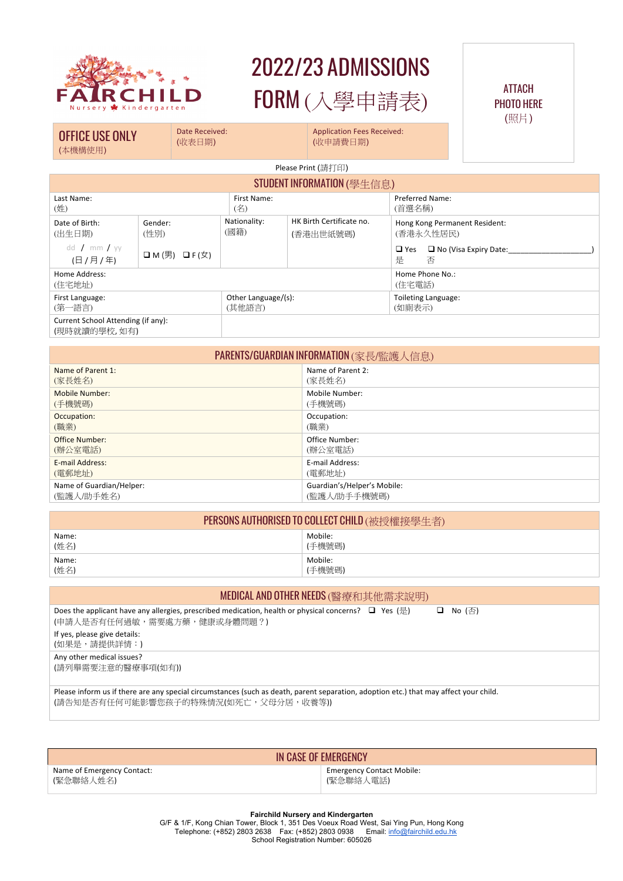

# 2022/23 ADMISSIONS FORM (入學申請表)

## ATTACH PHOTO HERE (照片)

OFFICE USE ONLY (本機構使用)

Date Received: (收表日期)

Application Fees Received:

(收申請費日期)

Please Print (請打印)

#### **STUDENT INFORMATION** (與丹信自)

|                                                    |                                             |                               | $\mathsf{U}$ and $\mathsf{U}$ and $\mathsf{U}$ and $\mathsf{U}$ and $\mathsf{U}$ and $\mathsf{U}$ and $\mathsf{U}$ and $\mathsf{U}$ and $\mathsf{U}$ and $\mathsf{U}$ and $\mathsf{U}$ are $\mathsf{U}$ and $\mathsf{U}$ are $\mathsf{U}$ and $\mathsf{U}$ are $\mathsf{U}$ and $\mathsf{U}$ are |                               |                                            |  |
|----------------------------------------------------|---------------------------------------------|-------------------------------|--------------------------------------------------------------------------------------------------------------------------------------------------------------------------------------------------------------------------------------------------------------------------------------------------|-------------------------------|--------------------------------------------|--|
| Last Name:<br>(姓)                                  |                                             | First Name:<br>(名)            |                                                                                                                                                                                                                                                                                                  | Preferred Name:<br>(首選名稱)     |                                            |  |
| Date of Birth:<br>(出生日期)                           | Gender:<br>(性別)                             | Nationality:<br>(國籍)          | HK Birth Certificate no.<br>(香港出世紙號碼)                                                                                                                                                                                                                                                            |                               | Hong Kong Permanent Resident:<br>(香港永久性居民) |  |
| dd / mm / $VV$<br>(日 / 月 / 年)                      | $\Box M(\mathcal{F})$ $\Box F(\mathcal{F})$ |                               |                                                                                                                                                                                                                                                                                                  | $\Box$ Yes<br>是               | $\Box$ No (Visa Expiry Date:<br>否          |  |
| Home Address:<br>(住宅地址)                            |                                             |                               |                                                                                                                                                                                                                                                                                                  | Home Phone No.:<br>(住宅電話)     |                                            |  |
| First Language:<br>(第一語言)                          |                                             | Other Language/(s):<br>(其他語言) |                                                                                                                                                                                                                                                                                                  | Toileting Language:<br>(如廁表示) |                                            |  |
| Current School Attending (if any):<br>(現時就讀的學校,如有) |                                             |                               |                                                                                                                                                                                                                                                                                                  |                               |                                            |  |

| PARENTS/GUARDIAN INFORMATION (家長/監護人信息) |                             |  |  |  |
|-----------------------------------------|-----------------------------|--|--|--|
| Name of Parent 1:                       | Name of Parent 2:           |  |  |  |
| (家長姓名)                                  | (家長姓名)                      |  |  |  |
| Mobile Number:                          | Mobile Number:              |  |  |  |
| (手機號碼)                                  | (手機號碼)                      |  |  |  |
| Occupation:                             | Occupation:                 |  |  |  |
| (職業)                                    | (職業)                        |  |  |  |
| Office Number:                          | Office Number:              |  |  |  |
| (辦公室電話)                                 | (辦公室電話)                     |  |  |  |
| E-mail Address:                         | E-mail Address:             |  |  |  |
| (電郵地址)                                  | (電郵地址)                      |  |  |  |
| Name of Guardian/Helper:                | Guardian's/Helper's Mobile: |  |  |  |
| (監護人/助手姓名)                              | (監護人/助手手機號碼)                |  |  |  |

| <b>PERSONS AUTHORISED TO COLLECT CHILD (被授權接學生者)</b> |         |  |  |  |
|------------------------------------------------------|---------|--|--|--|
| Name:                                                | Mobile: |  |  |  |
| (姓名)                                                 | (手機號碼)  |  |  |  |
| Name:                                                | Mobile: |  |  |  |
| (姓名)                                                 | (手機號碼)  |  |  |  |

## MEDICAL AND OTHER NEEDS (醫療和其他需求說明)

| Does the applicant have any allergies, prescribed medication, health or physical concerns? $\Box$ Yes ( $\bigoplus$ ) | $\Box$ No $(\overline{\land})$ |
|-----------------------------------------------------------------------------------------------------------------------|--------------------------------|
| (申請人是否有任何過敏,需要處方藥,健康或身體問題?)                                                                                           |                                |
| If yes, please give details:                                                                                          |                                |
| (如果是,請提供詳情:)                                                                                                          |                                |
|                                                                                                                       |                                |

Any other medical issues?

(請列舉需要注意的醫療事項(如有))

Please inform us if there are any special circumstances (such as death, parent separation, adoption etc.) that may affect your child. (請告知是否有任何可能影響您孩子的特殊情況(如死亡,父母分居,收養等))

# IN CASE OF EMERGENCY

Name of Emergency Contact: (緊急聯絡人姓名)

Emergency Contact Mobile: (緊急聯絡人電話)